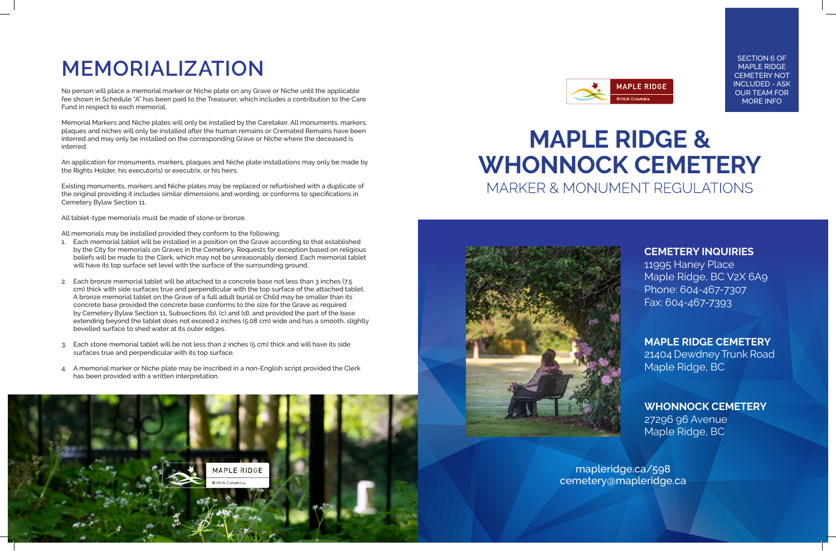mapleridge.ca/598 cemetery@mapleridge.ca

# **MAPLE RIDGE & WHONNOCK CEMETERY** MARKER & MONUMENT REGULATIONS



# **MEMORIALIZATION**

No person will place a memorial marker or Niche plate on any Grave or Niche until the applicable fee shown in Schedule "A" has been paid to the Treasurer, which includes a contribution to the Care Fund in respect to each memorial.

Memorial Markers and Niche plates will only be installed by the Caretaker. All monuments, markers, plaques and niches will only be installed after the human remains or Cremated Remains have been interred and may only be installed on the corresponding Grave or Niche where the deceased is interred.

An application for monuments, markers, plaques and Niche plate installations may only be made by the Rights Holder, his executor(s) or executrix, or his heirs.

Existing monuments, markers and Niche plates may be replaced or refurbished with a duplicate of the original providing it includes similar dimensions and wording, or conforms to specifications in Cemetery Bylaw Section 11.

All tablet-type memorials must be made of stone or bronze.

All memorials may be installed provided they conform to the following:

- 1. Each memorial tablet will be installed in a position on the Grave according to that established by the City for memorials on Graves in the Cemetery. Requests for exception based on religious beliefs will be made to the Clerk, which may not be unreasonably denied. Each memorial tablet will have its top surface set level with the surface of the surrounding ground.
- 2. Each bronze memorial tablet will be attached to a concrete base not less than 3 inches (7.5 cm) thick with side surfaces true and perpendicular with the top surface of the attached tablet. A bronze memorial tablet on the Grave of a full adult burial or Child may be smaller than its concrete base provided the concrete base conforms to the size for the Grave as required by Cemetery Bylaw Section 11, Subsections (b), (c) and (d), and provided the part of the base extending beyond the tablet does not exceed 2 inches (5.08 cm) wide and has a smooth, slightly bevelled surface to shed water at its outer edges.
- 3. Each stone memorial tablet will be not less than 2 inches (5 cm) thick and will have its side surfaces true and perpendicular with its top surface.
- 4. A memorial marker or Niche plate may be inscribed in a non-English script provided the Clerk has been provided with a written interpretation.





## **CEMETERY INQUIRIES**

11995 Haney Place Maple Ridge, BC V2X 6A9 Phone: 604-467-7307 Fax: 604-467-7393

# **MAPLE RIDGE CEMETERY**

21404 Dewdney Trunk Road Maple Ridge, BC

## **WHONNOCK CEMETERY** 27296 96 Avenue

Maple Ridge, BC

SECTION 6 OF MAPLE RIDGE CEMETERY NOT INCLUDED - ASK OUR TEAM FOR MORE INFO